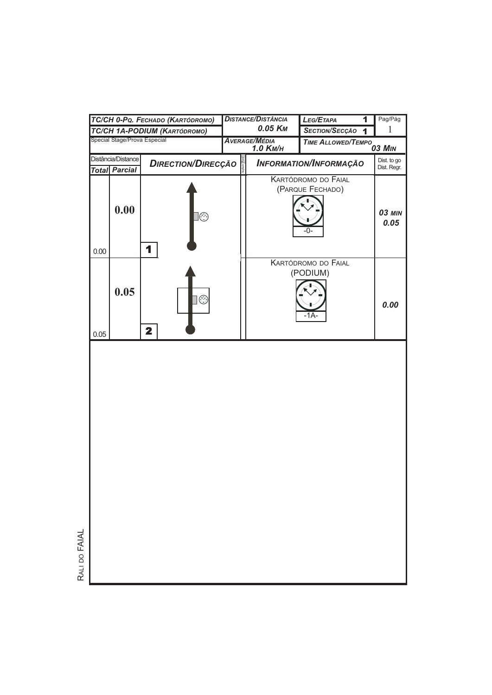| TC/CH 0-PQ. FECHADO (KARTÓDROMO) |                                            |                                           | <b>DISTANCE/DISTÂNCIA</b>                     |                     |  | LEG/ETAPA<br>$\overline{\mathbf{1}}$             | Pag/Pág                    |
|----------------------------------|--------------------------------------------|-------------------------------------------|-----------------------------------------------|---------------------|--|--------------------------------------------------|----------------------------|
| TC/CH 1A-PODIUM (KARTÓDROMO)     |                                            |                                           |                                               | 0.05 K <sub>M</sub> |  | <b>SECTION/SECÇÃO</b><br>$\overline{\mathbf{1}}$ | $\mathbf{1}$               |
| Special Stage/Prova Especial     |                                            |                                           | <b>AVERAGE/MÉDIA</b><br>1.0 K <sub>M</sub> /H |                     |  | <b>TIME ALLOWED/TEMPO<sub>03</sub> MIN</b>       |                            |
|                                  | Distância/Distance<br><b>Total Parcial</b> | <b>DIRECTION/DIRECÇÃO</b>                 |                                               |                     |  | <b>INFORMATION/INFORMAÇÃO</b>                    | Dist. to go<br>Dist. Regr. |
| 0.00                             | 0.00                                       | $\Box \circledS$<br>1                     |                                               |                     |  | KARTÓDROMO DO FAIAL<br>(PARQUE FECHADO)<br>-0-   | <b>03 MIN</b><br>0.05      |
| 0.05                             | 0.05                                       | $\circledcirc$<br>$\overline{\mathbf{2}}$ |                                               |                     |  | KARTÓDROMO DO FAIAL<br>(PODIUM)<br>-1A-          | 0.00                       |
|                                  |                                            |                                           |                                               |                     |  |                                                  |                            |

RALI DO FAIAL RALI DO FAIAL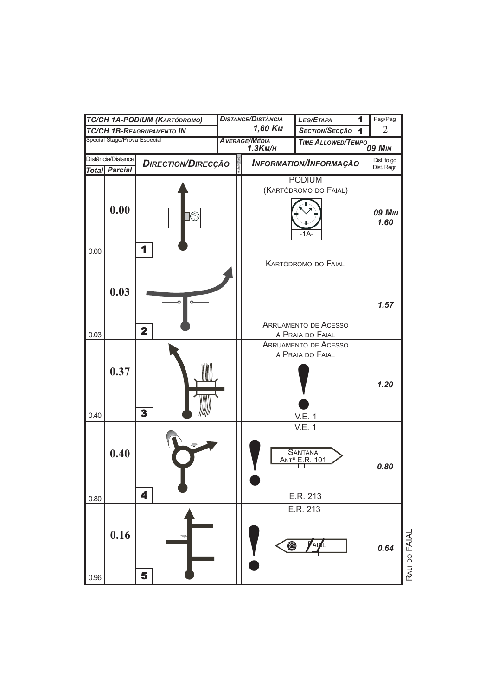| TC/CH 1A-PODIUM (KARTÓDROMO)                                            |      |                         | <b>DISTANCE/DISTÂNCIA</b>     |                                                                           | LEG/ETAPA<br>1                                                         | Pag/Pág                    |
|-------------------------------------------------------------------------|------|-------------------------|-------------------------------|---------------------------------------------------------------------------|------------------------------------------------------------------------|----------------------------|
| <b>TC/CH 1B-REAGRUPAMENTO IN</b>                                        |      |                         |                               | 1,60 K <sub>M</sub>                                                       | SECTION/SECÇÃO                                                         | $\overline{2}$             |
| Special Stage/Prova Especial                                            |      |                         |                               | <b>AVERAGE/MÉDIA</b><br><b>TIME ALLOWED/TEMPO 09 MIN</b><br>$1.3$ KM/ $H$ |                                                                        |                            |
| Distância/Distance<br><b>DIRECTION/DIRECÇÃO</b><br><b>Total Parcial</b> |      |                         | <b>INFORMATION/INFORMAÇÃO</b> |                                                                           |                                                                        | Dist. to go<br>Dist. Regr. |
| 0.00                                                                    | 0.00 | $\circledcirc$<br>1     |                               | <b>PODIUM</b><br>(KARTÓDROMO DO FAIAL)<br>-1A-                            |                                                                        | <b>09 MIN</b><br>1.60      |
| 0.03                                                                    | 0.03 | $\overline{\mathbf{2}}$ |                               |                                                                           | KARTÓDROMO DO FAIAL<br><b>ARRUAMENTO DE ACESSO</b><br>À PRAIA DO FAIAL | 1.57                       |
| 0.40                                                                    | 0.37 | 3                       |                               |                                                                           | <b>ARRUAMENTO DE ACESSO</b><br>À PRAIA DO FAIAL<br><b>V.E. 1</b>       | 1.20                       |
| 0.80                                                                    | 0.40 | 4                       |                               |                                                                           | V.E. 1<br><b>SANTANA</b><br>ANT <sup>a</sup> E.R. 101<br>E.R. 213      | 0.80                       |
| 0.96                                                                    | 0.16 | ⇛<br>5                  |                               | 0                                                                         | E.R. 213                                                               | RALI DO FAIAL<br>0.64      |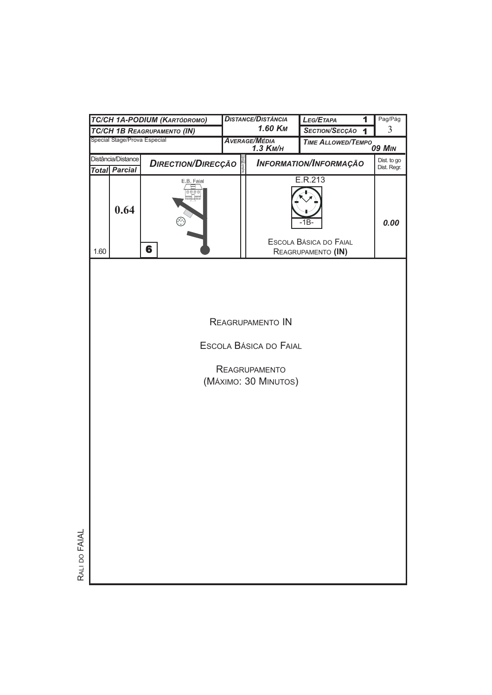